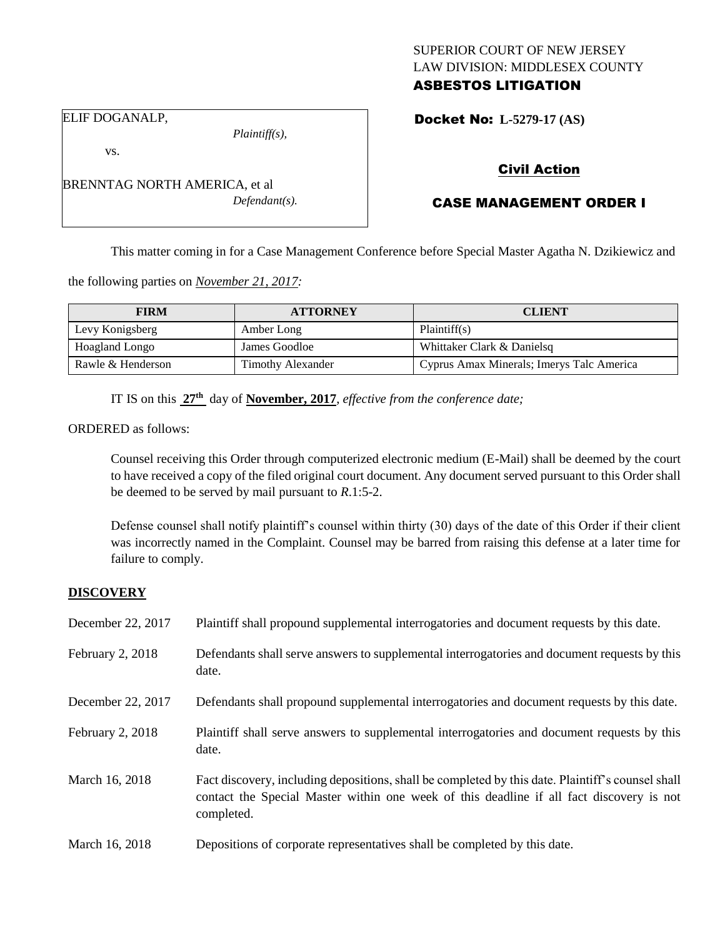## SUPERIOR COURT OF NEW JERSEY LAW DIVISION: MIDDLESEX COUNTY ASBESTOS LITIGATION

Docket No: **L-5279-17 (AS)** 

vs.

*Plaintiff(s),*

Civil Action

# CASE MANAGEMENT ORDER I

This matter coming in for a Case Management Conference before Special Master Agatha N. Dzikiewicz and

the following parties on *November 21, 2017:*

| <b>FIRM</b>       | <b>ATTORNEY</b>          | <b>CLIENT</b>                             |
|-------------------|--------------------------|-------------------------------------------|
| Levy Konigsberg   | Amber Long               | Plaintiff(s)                              |
| Hoagland Longo    | James Goodloe            | Whittaker Clark & Danielsq                |
| Rawle & Henderson | <b>Timothy Alexander</b> | Cyprus Amax Minerals; Imerys Talc America |

IT IS on this **27th** day of **November, 2017**, *effective from the conference date;*

ORDERED as follows:

Counsel receiving this Order through computerized electronic medium (E-Mail) shall be deemed by the court to have received a copy of the filed original court document. Any document served pursuant to this Order shall be deemed to be served by mail pursuant to *R*.1:5-2.

Defense counsel shall notify plaintiff's counsel within thirty (30) days of the date of this Order if their client was incorrectly named in the Complaint. Counsel may be barred from raising this defense at a later time for failure to comply.

#### **DISCOVERY**

| December 22, 2017 | Plaintiff shall propound supplemental interrogatories and document requests by this date.                                                                                                                   |  |  |
|-------------------|-------------------------------------------------------------------------------------------------------------------------------------------------------------------------------------------------------------|--|--|
| February 2, 2018  | Defendants shall serve answers to supplemental interrogatories and document requests by this<br>date.                                                                                                       |  |  |
| December 22, 2017 | Defendants shall propound supplemental interrogatories and document requests by this date.                                                                                                                  |  |  |
| February 2, 2018  | Plaintiff shall serve answers to supplemental interrogatories and document requests by this<br>date.                                                                                                        |  |  |
| March 16, 2018    | Fact discovery, including depositions, shall be completed by this date. Plaintiff's counsel shall<br>contact the Special Master within one week of this deadline if all fact discovery is not<br>completed. |  |  |
| March 16, 2018    | Depositions of corporate representatives shall be completed by this date.                                                                                                                                   |  |  |

BRENNTAG NORTH AMERICA, et al *Defendant(s).*

ELIF DOGANALP,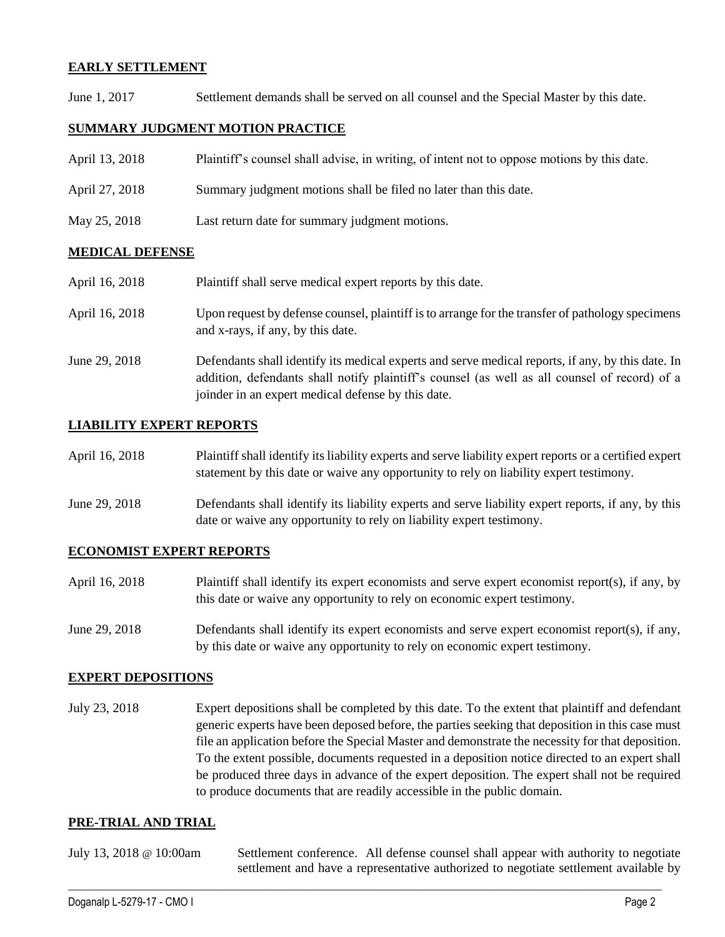## **EARLY SETTLEMENT**

June 1, 2017 Settlement demands shall be served on all counsel and the Special Master by this date.

## **SUMMARY JUDGMENT MOTION PRACTICE**

| April 13, 2018 | Plaintiff's counsel shall advise, in writing, of intent not to oppose motions by this date. |
|----------------|---------------------------------------------------------------------------------------------|
| April 27, 2018 | Summary judgment motions shall be filed no later than this date.                            |
| May 25, 2018   | Last return date for summary judgment motions.                                              |

## **MEDICAL DEFENSE**

| April 16, 2018 | Plaintiff shall serve medical expert reports by this date.                                                                                                                                                                                               |
|----------------|----------------------------------------------------------------------------------------------------------------------------------------------------------------------------------------------------------------------------------------------------------|
| April 16, 2018 | Upon request by defense counsel, plaintiff is to arrange for the transfer of pathology specimens<br>and x-rays, if any, by this date.                                                                                                                    |
| June 29, 2018  | Defendants shall identify its medical experts and serve medical reports, if any, by this date. In<br>addition, defendants shall notify plaintiff's counsel (as well as all counsel of record) of a<br>joinder in an expert medical defense by this date. |

## **LIABILITY EXPERT REPORTS**

| April 16, 2018 | Plaintiff shall identify its liability experts and serve liability expert reports or a certified expert |  |  |
|----------------|---------------------------------------------------------------------------------------------------------|--|--|
|                | statement by this date or waive any opportunity to rely on liability expert testimony.                  |  |  |
|                |                                                                                                         |  |  |

June 29, 2018 Defendants shall identify its liability experts and serve liability expert reports, if any, by this date or waive any opportunity to rely on liability expert testimony.

#### **ECONOMIST EXPERT REPORTS**

- April 16, 2018 Plaintiff shall identify its expert economists and serve expert economist report(s), if any, by this date or waive any opportunity to rely on economic expert testimony.
- June 29, 2018 Defendants shall identify its expert economists and serve expert economist report(s), if any, by this date or waive any opportunity to rely on economic expert testimony.

#### **EXPERT DEPOSITIONS**

July 23, 2018 Expert depositions shall be completed by this date. To the extent that plaintiff and defendant generic experts have been deposed before, the parties seeking that deposition in this case must file an application before the Special Master and demonstrate the necessity for that deposition. To the extent possible, documents requested in a deposition notice directed to an expert shall be produced three days in advance of the expert deposition. The expert shall not be required to produce documents that are readily accessible in the public domain.

#### **PRE-TRIAL AND TRIAL**

| July 13, 2018 $\circledcirc$ 10:00am | Settlement conference. All defense counsel shall appear with authority to negotiate  |  |  |
|--------------------------------------|--------------------------------------------------------------------------------------|--|--|
|                                      | settlement and have a representative authorized to negotiate settlement available by |  |  |

 $\_$  ,  $\_$  ,  $\_$  ,  $\_$  ,  $\_$  ,  $\_$  ,  $\_$  ,  $\_$  ,  $\_$  ,  $\_$  ,  $\_$  ,  $\_$  ,  $\_$  ,  $\_$  ,  $\_$  ,  $\_$  ,  $\_$  ,  $\_$  ,  $\_$  ,  $\_$  ,  $\_$  ,  $\_$  ,  $\_$  ,  $\_$  ,  $\_$  ,  $\_$  ,  $\_$  ,  $\_$  ,  $\_$  ,  $\_$  ,  $\_$  ,  $\_$  ,  $\_$  ,  $\_$  ,  $\_$  ,  $\_$  ,  $\_$  ,